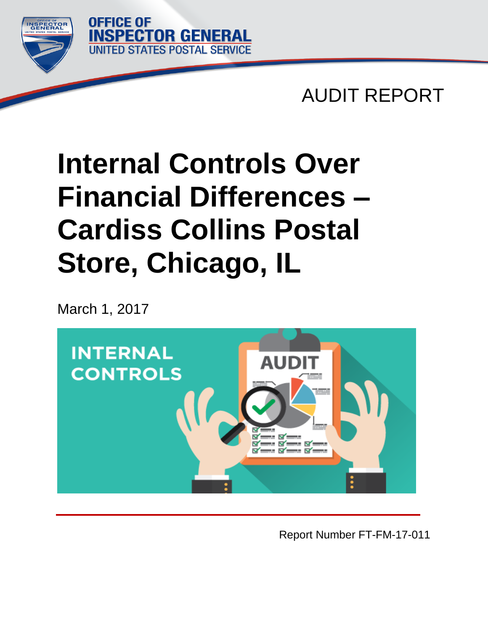

AUDIT REPORT

# **Internal Controls Over Financial Differences – Cardiss Collins Postal Store, Chicago, IL**

March 1, 2017

**OFFICE OF** 

**SPECTOR GENERAL** 

**STATES POSTAL SERVICE** 



Report Number FT-FM-17-011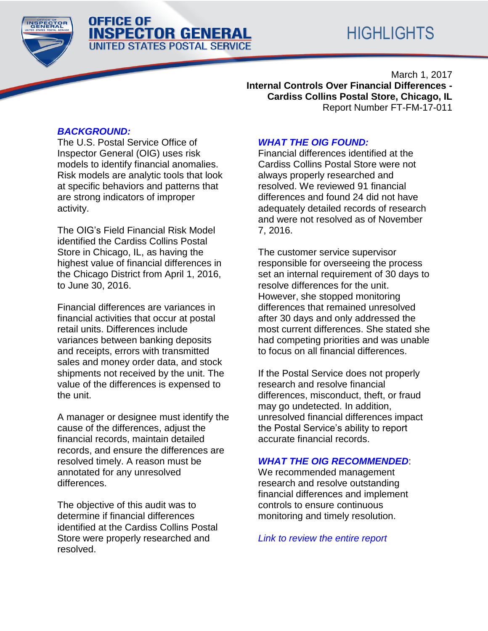# **OFFICE OF INSPECTOR GENERAL UNITED STATES POSTAL SERVICE**

March 1, 2017 **Internal Controls Over Financial Differences - Cardiss Collins Postal Store, Chicago, IL** Report Number FT-FM-17-011

# *[BACKGROUND:](file:///C:/Users/jfoley/appdata/local/temp/tm_temp/TM_4/AS2.a%20-%2017BFM005FT000%20-%2011-7-2016.docx%23bac)*

The U.S. Postal Service Office of Inspector General (OIG) uses risk models to identify financial anomalies. Risk models are analytic tools that look at specific behaviors and patterns that are strong indicators of improper activity.

The OIG's Field Financial Risk Model identified the Cardiss Collins Postal Store in Chicago, IL, as having the highest value of financial differences in the Chicago District from April 1, 2016, to June 30, 2016.

Financial differences are variances in financial activities that occur at postal retail units. Differences include variances between banking deposits and receipts, errors with transmitted sales and money order data, and stock shipments not received by the unit. The value of the differences is expensed to the unit.

A manager or designee must identify the cause of the differences, adjust the financial records, maintain detailed records, and ensure the differences are resolved timely. A reason must be annotated for any unresolved differences.

The objective of this audit was to determine if financial differences identified at the Cardiss Collins Postal Store were properly researched and resolved.

# *[WHAT THE OIG FOUND:](#page-5-0)*

Financial differences identified at the Cardiss Collins Postal Store were not always properly researched and resolved. We reviewed 91 financial differences and found 24 did not have adequately detailed records of research and were not resolved as of November 7, 2016.

The customer service supervisor responsible for overseeing the process set an internal requirement of 30 days to resolve differences for the unit. However, she stopped monitoring differences that remained unresolved after 30 days and only addressed the most current differences. She stated she had competing priorities and was unable to focus on all financial differences.

If the Postal Service does not properly research and resolve financial differences, misconduct, theft, or fraud may go undetected. In addition, unresolved financial differences impact the Postal Service's ability to report accurate financial records.

### *[WHAT THE OIG RECOMMENDED](#page-6-0)*:

We recommended management research and resolve outstanding financial differences and implement controls to ensure continuous monitoring and timely resolution.

*[Link to review the entire report](#page-4-0)*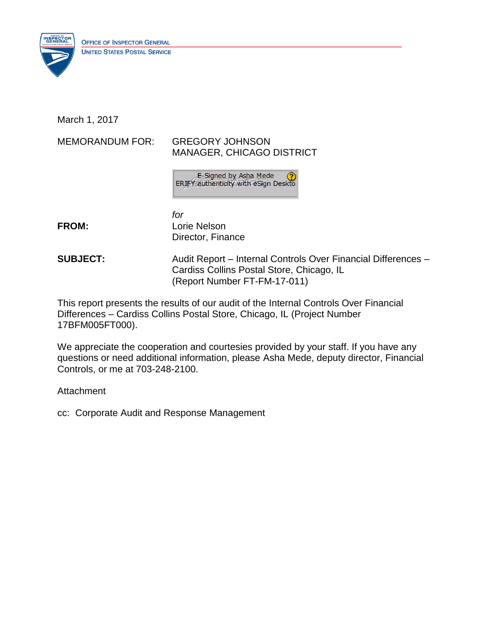

March 1, 2017

MEMORANDUM FOR: GREGORY JOHNSON

# MANAGER, CHICAGO DISTRICT

E-Signed by Asha Mede ERIFY authenticity with eSign Deskto

*for* **FROM:** Lorie Nelson Director, Finance

**SUBJECT:** Audit Report – Internal Controls Over Financial Differences – Cardiss Collins Postal Store, Chicago, IL (Report Number FT-FM-17-011)

This report presents the results of our audit of the Internal Controls Over Financial Differences – Cardiss Collins Postal Store, Chicago, IL (Project Number 17BFM005FT000).

We appreciate the cooperation and courtesies provided by your staff. If you have any questions or need additional information, please Asha Mede, deputy director, Financial Controls, or me at 703-248-2100.

**Attachment** 

cc: Corporate Audit and Response Management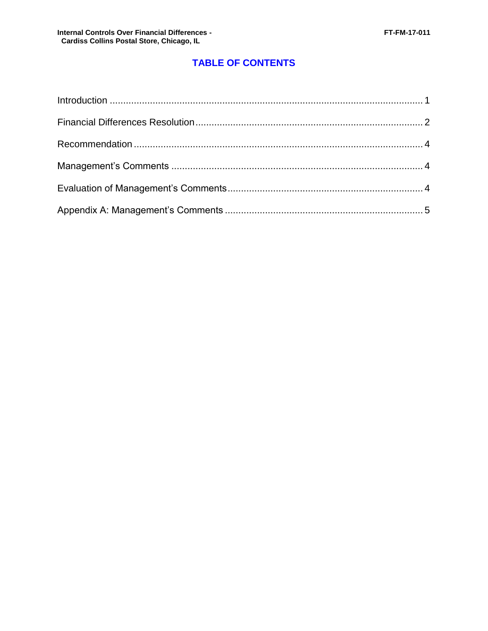# **TABLE OF CONTENTS**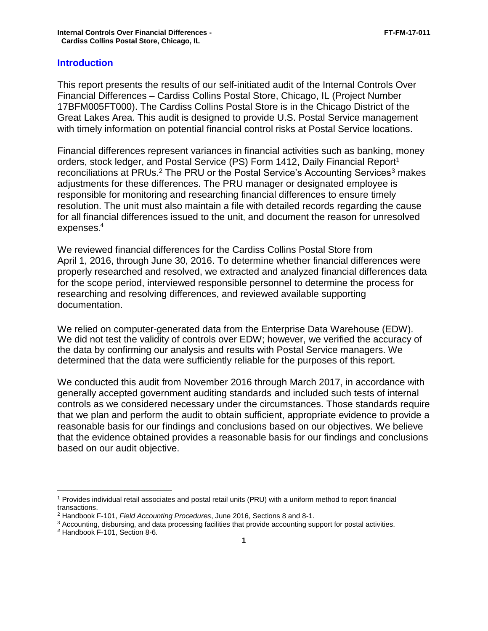#### <span id="page-4-0"></span>**Introduction**

This report presents the results of our self-initiated audit of the Internal Controls Over Financial Differences – Cardiss Collins Postal Store, Chicago, IL (Project Number 17BFM005FT000). The Cardiss Collins Postal Store is in the Chicago District of the Great Lakes Area. This audit is designed to provide U.S. Postal Service management with timely information on potential financial control risks at Postal Service locations.

Financial differences represent variances in financial activities such as banking, money orders, stock ledger, and Postal Service (PS) Form 1412, Daily Financial Report<sup>1</sup> reconciliations at PRUs.<sup>2</sup> The PRU or the Postal Service's Accounting Services<sup>3</sup> makes adjustments for these differences. The PRU manager or designated employee is responsible for monitoring and researching financial differences to ensure timely resolution. The unit must also maintain a file with detailed records regarding the cause for all financial differences issued to the unit, and document the reason for unresolved expenses. $\rm ^4$ 

We reviewed financial differences for the Cardiss Collins Postal Store from April 1, 2016, through June 30, 2016. To determine whether financial differences were properly researched and resolved, we extracted and analyzed financial differences data for the scope period, interviewed responsible personnel to determine the process for researching and resolving differences, and reviewed available supporting documentation.

We relied on computer-generated data from the Enterprise Data Warehouse (EDW). We did not test the validity of controls over EDW; however, we verified the accuracy of the data by confirming our analysis and results with Postal Service managers. We determined that the data were sufficiently reliable for the purposes of this report.

We conducted this audit from November 2016 through March 2017, in accordance with generally accepted government auditing standards and included such tests of internal controls as we considered necessary under the circumstances. Those standards require that we plan and perform the audit to obtain sufficient, appropriate evidence to provide a reasonable basis for our findings and conclusions based on our objectives. We believe that the evidence obtained provides a reasonable basis for our findings and conclusions based on our audit objective.

 $\overline{a}$ <sup>1</sup> Provides individual retail associates and postal retail units (PRU) with a uniform method to report financial transactions.

<sup>2</sup> Handbook F-101, *Field Accounting Procedures*, June 2016, Sections 8 and 8-1.

<sup>3</sup> Accounting, disbursing, and data processing facilities that provide accounting support for postal activities.

*<sup>4</sup>* Handbook F-101, Section 8-6*.*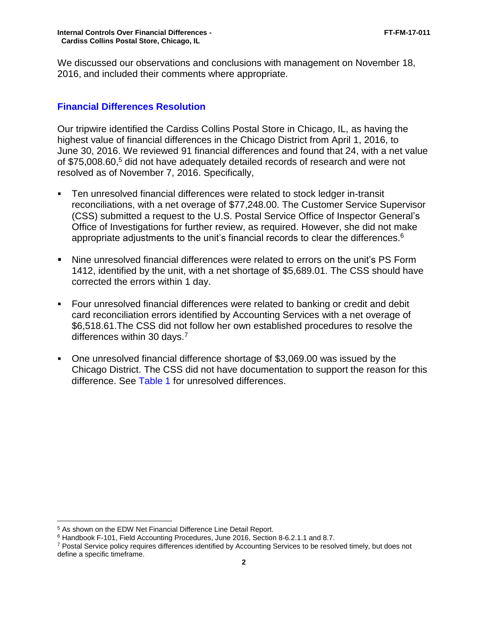We discussed our observations and conclusions with management on November 18, 2016, and included their comments where appropriate.

### <span id="page-5-0"></span>**Financial Differences Resolution**

Our tripwire identified the Cardiss Collins Postal Store in Chicago, IL, as having the highest value of financial differences in the Chicago District from April 1, 2016, to June 30, 2016. We reviewed 91 financial differences and found that 24, with a net value of \$75,008.60,<sup>5</sup> did not have adequately detailed records of research and were not resolved as of November 7, 2016. Specifically,

- Ten unresolved financial differences were related to stock ledger in-transit reconciliations, with a net overage of \$77,248.00. The Customer Service Supervisor (CSS) submitted a request to the U.S. Postal Service Office of Inspector General's Office of Investigations for further review, as required. However, she did not make appropriate adjustments to the unit's financial records to clear the differences.<sup>6</sup>
- Nine unresolved financial differences were related to errors on the unit's PS Form 1412, identified by the unit, with a net shortage of \$5,689.01. The CSS should have corrected the errors within 1 day.
- Four unresolved financial differences were related to banking or credit and debit card reconciliation errors identified by Accounting Services with a net overage of \$6,518.61.The CSS did not follow her own established procedures to resolve the differences within 30 days.<sup>7</sup>
- One unresolved financial difference shortage of \$3,069.00 was issued by the Chicago District. The CSS did not have documentation to support the reason for this difference. See [Table 1](#page-6-1) for unresolved differences.

 $\overline{a}$ <sup>5</sup> As shown on the EDW Net Financial Difference Line Detail Report.

<sup>6</sup> Handbook F-101, Field Accounting Procedures, June 2016, Section 8-6.2.1.1 and 8.7.

<sup>7</sup> Postal Service policy requires differences identified by Accounting Services to be resolved timely, but does not define a specific timeframe.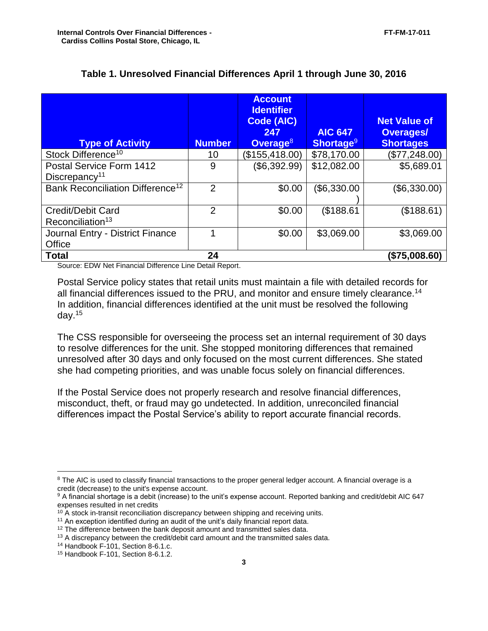<span id="page-6-1"></span>

| <b>Type of Activity</b>                                  | <b>Number</b> | <b>Account</b><br><b>Identifier</b><br>Code (AIC)<br>247<br>Overage <sup>8</sup> | <b>AIC 647</b><br>Shortage <sup>9</sup> | <b>Net Value of</b><br><b>Overages/</b><br><b>Shortages</b> |
|----------------------------------------------------------|---------------|----------------------------------------------------------------------------------|-----------------------------------------|-------------------------------------------------------------|
| Stock Difference <sup>10</sup>                           | 10            | (\$155,418.00)                                                                   | \$78,170.00                             | (\$77,248.00)                                               |
| Postal Service Form 1412<br>Discrepancy <sup>11</sup>    | 9             | (\$6,392.99)                                                                     | \$12,082.00                             | \$5,689.01                                                  |
| Bank Reconciliation Difference <sup>12</sup>             | $\mathcal{P}$ | \$0.00                                                                           | (\$6,330.00                             | (\$6,330.00)                                                |
| <b>Credit/Debit Card</b><br>Reconciliation <sup>13</sup> | 2             | \$0.00                                                                           | \$188.61                                | (\$188.61)                                                  |
| Journal Entry - District Finance<br>Office               |               | \$0.00                                                                           | \$3,069.00                              | \$3,069.00                                                  |
| <b>Total</b>                                             | 24            |                                                                                  |                                         | (\$75,008.60)                                               |

#### **Table 1. Unresolved Financial Differences April 1 through June 30, 2016**

Source: EDW Net Financial Difference Line Detail Report.

Postal Service policy states that retail units must maintain a file with detailed records for all financial differences issued to the PRU, and monitor and ensure timely clearance.<sup>14</sup> In addition, financial differences identified at the unit must be resolved the following day.<sup>15</sup>

The CSS responsible for overseeing the process set an internal requirement of 30 days to resolve differences for the unit. She stopped monitoring differences that remained unresolved after 30 days and only focused on the most current differences. She stated she had competing priorities, and was unable focus solely on financial differences.

If the Postal Service does not properly research and resolve financial differences, misconduct, theft, or fraud may go undetected. In addition, unreconciled financial differences impact the Postal Service's ability to report accurate financial records.

<sup>14</sup> Handbook F-101, Section 8-6.1.c.

<span id="page-6-0"></span> $\overline{a}$ 

<sup>&</sup>lt;sup>8</sup> The AIC is used to classify financial transactions to the proper general ledger account. A financial overage is a credit (decrease) to the unit's expense account.

<sup>9</sup> A financial shortage is a debit (increase) to the unit's expense account. Reported banking and credit/debit AIC 647 expenses resulted in net credits

 $10$  A stock in-transit reconciliation discrepancy between shipping and receiving units.

<sup>&</sup>lt;sup>11</sup> An exception identified during an audit of the unit's daily financial report data.

<sup>&</sup>lt;sup>12</sup> The difference between the bank deposit amount and transmitted sales data.

<sup>&</sup>lt;sup>13</sup> A discrepancy between the credit/debit card amount and the transmitted sales data.

<sup>15</sup> Handbook F-101, Section 8-6.1.2.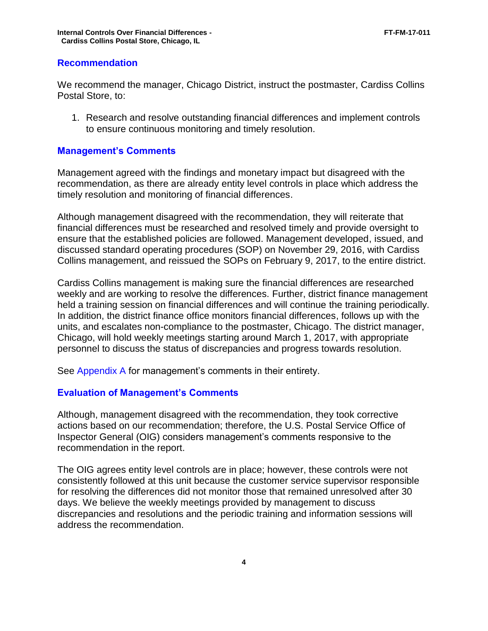#### <span id="page-7-0"></span>**Recommendation**

We recommend the manager, Chicago District, instruct the postmaster, Cardiss Collins Postal Store, to:

1. Research and resolve outstanding financial differences and implement controls to ensure continuous monitoring and timely resolution.

#### <span id="page-7-1"></span>**Management's Comments**

Management agreed with the findings and monetary impact but disagreed with the recommendation, as there are already entity level controls in place which address the timely resolution and monitoring of financial differences.

Although management disagreed with the recommendation, they will reiterate that financial differences must be researched and resolved timely and provide oversight to ensure that the established policies are followed. Management developed, issued, and discussed standard operating procedures (SOP) on November 29, 2016, with Cardiss Collins management, and reissued the SOPs on February 9, 2017, to the entire district.

Cardiss Collins management is making sure the financial differences are researched weekly and are working to resolve the differences. Further, district finance management held a training session on financial differences and will continue the training periodically. In addition, the district finance office monitors financial differences, follows up with the units, and escalates non-compliance to the postmaster, Chicago. The district manager, Chicago, will hold weekly meetings starting around March 1, 2017, with appropriate personnel to discuss the status of discrepancies and progress towards resolution.

See [Appendix A](#page-9-0) for management's comments in their entirety.

#### <span id="page-7-2"></span>**Evaluation of Management's Comments**

Although, management disagreed with the recommendation, they took corrective actions based on our recommendation; therefore, the U.S. Postal Service Office of Inspector General (OIG) considers management's comments responsive to the recommendation in the report.

The OIG agrees entity level controls are in place; however, these controls were not consistently followed at this unit because the customer service supervisor responsible for resolving the differences did not monitor those that remained unresolved after 30 days. We believe the weekly meetings provided by management to discuss discrepancies and resolutions and the periodic training and information sessions will address the recommendation.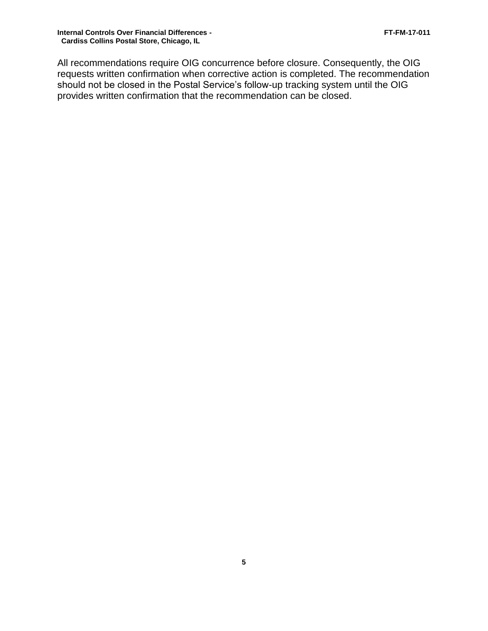All recommendations require OIG concurrence before closure. Consequently, the OIG requests written confirmation when corrective action is completed. The recommendation should not be closed in the Postal Service's follow-up tracking system until the OIG provides written confirmation that the recommendation can be closed.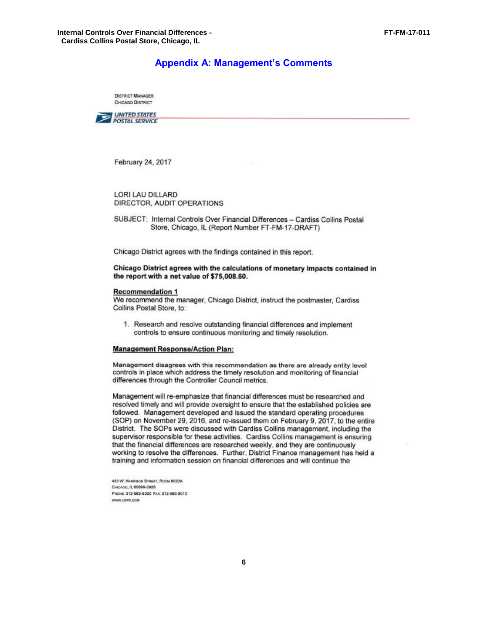#### **Appendix A: Management's Comments**

**DISTRICT MANAGER CHICAGO DISTRICT** 

<span id="page-9-0"></span>

February 24, 2017

LORI LAU DILLARD DIRECTOR, AUDIT OPERATIONS

SUBJECT: Internal Controls Over Financial Differences - Cardiss Collins Postal Store, Chicago, IL (Report Number FT-FM-17-DRAFT)

Chicago District agrees with the findings contained in this report.

#### Chicago District agrees with the calculations of monetary impacts contained in the report with a net value of \$75,008.60.

#### **Recommendation 1**

We recommend the manager, Chicago District, instruct the postmaster, Cardiss Collins Postal Store, to:

1. Research and resolve outstanding financial differences and implement controls to ensure continuous monitoring and timely resolution.

#### **Management Response/Action Plan:**

Management disagrees with this recommendation as there are already entity level controls in place which address the timely resolution and monitoring of financial differences through the Controller Council metrics.

Management will re-emphasize that financial differences must be researched and resolved timely and will provide oversight to ensure that the established policies are followed. Management developed and issued the standard operating procedures (SOP) on November 29, 2016, and re-issued them on February 9, 2017, to the entire District. The SOPs were discussed with Cardiss Collins management, including the supervisor responsible for these activities. Cardiss Collins management is ensuring that the financial differences are researched weekly, and they are continuously working to resolve the differences. Further, District Finance management has held a training and information session on financial differences and will continue the

433 W. HARRISON STREET, ROOM 8020A CHCAGO, IL 60699-3926 PHONE: 312-983-8030 FAX: 312-983-8010 WWW.USPS.COM